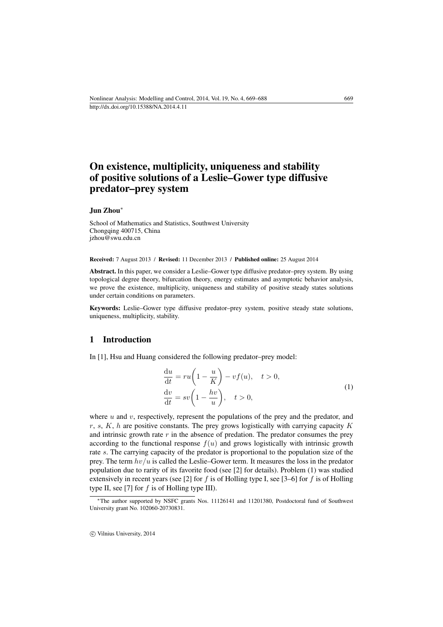# On existence, multiplicity, uniqueness and stability of positive solutions of a Leslie–Gower type diffusive predator–prey system

Jun Zhou<sup>∗</sup>

School of Mathematics and Statistics, Southwest University Chongqing 400715, China [jzhou@swu.edu.cn](mailto:jzhou@swu.edu.cn)

Received: 7 August 2013 / Revised: 11 December 2013 / Published online: 25 August 2014

Abstract. In this paper, we consider a Leslie–Gower type diffusive predator–prey system. By using topological degree theory, bifurcation theory, energy estimates and asymptotic behavior analysis, we prove the existence, multiplicity, uniqueness and stability of positive steady states solutions under certain conditions on parameters.

Keywords: Leslie–Gower type diffusive predator–prey system, positive steady state solutions, uniqueness, multiplicity, stability.

## 1 Introduction

<span id="page-0-0"></span>In [\[1\]](#page-17-0), Hsu and Huang considered the following predator–prey model:

$$
\frac{du}{dt} = ru\left(1 - \frac{u}{K}\right) - vf(u), \quad t > 0,
$$
\n
$$
\frac{dv}{dt} = sv\left(1 - \frac{hv}{u}\right), \quad t > 0,
$$
\n(1)

where  $u$  and  $v$ , respectively, represent the populations of the prey and the predator, and r, s,  $K$ , h are positive constants. The prey grows logistically with carrying capacity  $K$ and intrinsic growth rate  $r$  in the absence of predation. The predator consumes the prey according to the functional response  $f(u)$  and grows logistically with intrinsic growth rate s. The carrying capacity of the predator is proportional to the population size of the prey. The term  $hv/u$  is called the Leslie–Gower term. It measures the loss in the predator population due to rarity of its favorite food (see [\[2\]](#page-17-1) for details). Problem [\(1\)](#page-0-0) was studied extensively in recent years (see [\[2\]](#page-17-1) for f is of Holling type I, see [\[3–](#page-17-2)[6\]](#page-17-3) for f is of Holling type II, see [\[7\]](#page-17-4) for  $f$  is of Holling type III).

c Vilnius University, 2014

<sup>∗</sup>The author supported by NSFC grants Nos. 11126141 and 11201380, Postdoctoral fund of Southwest University grant No. 102060-20730831.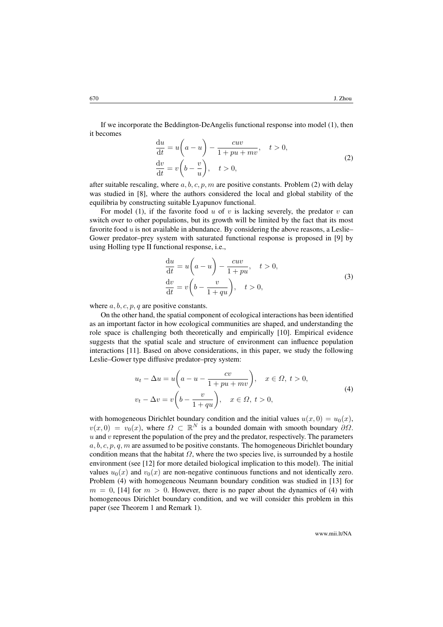If we incorporate the Beddington-DeAngelis functional response into model [\(1\)](#page-0-0), then it becomes

$$
\frac{du}{dt} = u\left(a - u\right) - \frac{cuv}{1 + pu + mv}, \quad t > 0,
$$
\n
$$
\frac{dv}{dt} = v\left(b - \frac{v}{u}\right), \quad t > 0,
$$
\n(2)

<span id="page-1-0"></span>after suitable rescaling, where  $a, b, c, p, m$  are positive constants. Problem [\(2\)](#page-1-0) with delay was studied in [\[8\]](#page-17-5), where the authors considered the local and global stability of the equilibria by constructing suitable Lyapunov functional.

For model [\(1\)](#page-0-0), if the favorite food  $u$  of  $v$  is lacking severely, the predator  $v$  can switch over to other populations, but its growth will be limited by the fact that its most favorite food  $u$  is not available in abundance. By considering the above reasons, a Leslie– Gower predator–prey system with saturated functional response is proposed in [\[9\]](#page-17-6) by using Holling type II functional response, i.e.,

$$
\frac{du}{dt} = u\left(a - u\right) - \frac{cuv}{1 + pu}, \quad t > 0,
$$
\n
$$
\frac{dv}{dt} = v\left(b - \frac{v}{1 + qu}\right), \quad t > 0,
$$
\n(3)

where  $a, b, c, p, q$  are positive constants.

On the other hand, the spatial component of ecological interactions has been identified as an important factor in how ecological communities are shaped, and understanding the role space is challenging both theoretically and empirically [\[10\]](#page-17-7). Empirical evidence suggests that the spatial scale and structure of environment can influence population interactions [\[11\]](#page-18-0). Based on above considerations, in this paper, we study the following Leslie–Gower type diffusive predator–prey system:

$$
u_t - \Delta u = u\left(a - u - \frac{cv}{1 + pu + mv}\right), \quad x \in \Omega, t > 0,
$$
  

$$
v_t - \Delta v = v\left(b - \frac{v}{1 + qu}\right), \quad x \in \Omega, t > 0,
$$
 (4)

<span id="page-1-1"></span>with homogeneous Dirichlet boundary condition and the initial values  $u(x, 0) = u_0(x)$ ,  $v(x, 0) = v_0(x)$ , where  $\Omega \subset \mathbb{R}^N$  is a bounded domain with smooth boundary  $\partial \Omega$ .  $u$  and  $v$  represent the population of the prey and the predator, respectively. The parameters a, b, c, p, q, m are assumed to be positive constants. The homogeneous Dirichlet boundary condition means that the habitat  $\Omega$ , where the two species live, is surrounded by a hostile environment (see [\[12\]](#page-18-1) for more detailed biological implication to this model). The initial values  $u_0(x)$  and  $v_0(x)$  are non-negative continuous functions and not identically zero. Problem [\(4\)](#page-1-1) with homogeneous Neumann boundary condition was studied in [\[13\]](#page-18-2) for  $m = 0$ , [\[14\]](#page-18-3) for  $m > 0$ . However, there is no paper about the dynamics of [\(4\)](#page-1-1) with homogeneous Dirichlet boundary condition, and we will consider this problem in this paper (see Theorem [1](#page-3-0) and Remark [1\)](#page-5-0).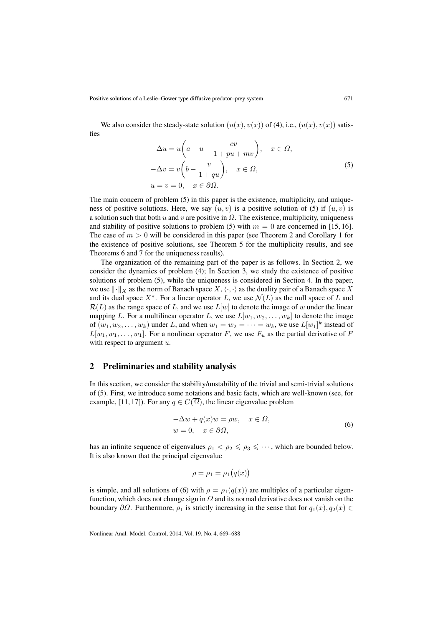We also consider the steady-state solution  $(u(x), v(x))$  of [\(4\)](#page-1-1), i.e.,  $(u(x), v(x))$  satisfies

$$
-\Delta u = u\left(a - u - \frac{cv}{1 + pu + mv}\right), \quad x \in \Omega,
$$
  

$$
-\Delta v = v\left(b - \frac{v}{1 + qu}\right), \quad x \in \Omega,
$$
  

$$
u = v = 0, \quad x \in \partial\Omega.
$$
  

$$
(5)
$$

<span id="page-2-0"></span>The main concern of problem [\(5\)](#page-2-0) in this paper is the existence, multiplicity, and uniqueness of positive solutions. Here, we say  $(u, v)$  is a positive solution of [\(5\)](#page-2-0) if  $(u, v)$  is a solution such that both u and v are positive in  $\Omega$ . The existence, multiplicity, uniqueness and stability of positive solutions to problem [\(5\)](#page-2-0) with  $m = 0$  are concerned in [\[15,](#page-18-4) [16\]](#page-18-5). The case of  $m > 0$  will be considered in this paper (see Theorem [2](#page-6-0) and Corollary [1](#page-8-0) for the existence of positive solutions, see Theorem [5](#page-12-0) for the multiplicity results, and see Theorems [6](#page-14-0) and [7](#page-16-0) for the uniqueness results).

The organization of the remaining part of the paper is as follows. In Section [2,](#page-2-1) we consider the dynamics of problem [\(4\)](#page-1-1); In Section [3,](#page-5-1) we study the existence of positive solutions of problem [\(5\)](#page-2-0), while the uniqueness is considered in Section [4.](#page-9-0) In the paper, we use  $\|\cdot\|_X$  as the norm of Banach space  $X, \langle \cdot, \cdot \rangle$  as the duality pair of a Banach space X and its dual space  $X^*$ . For a linear operator L, we use  $\mathcal{N}(L)$  as the null space of L and  $\mathcal{R}(L)$  as the range space of L, and we use  $L[w]$  to denote the image of w under the linear mapping L. For a multilinear operator L, we use  $L[w_1, w_2, \ldots, w_k]$  to denote the image of  $(w_1, w_2, \dots, w_k)$  under L, and when  $w_1 = w_2 = \dots = w_k$ , we use  $L[w_1]^k$  instead of  $L[w_1, w_1, \ldots, w_1]$ . For a nonlinear operator F, we use  $F_u$  as the partial derivative of F with respect to argument  $u$ .

#### <span id="page-2-1"></span>2 Preliminaries and stability analysis

In this section, we consider the stability/unstability of the trivial and semi-trivial solutions of [\(5\)](#page-2-0). First, we introduce some notations and basic facts, which are well-known (see, for example, [\[11,](#page-18-0) [17\]](#page-18-6)). For any  $q \in C(\overline{\Omega})$ , the linear eigenvalue problem

$$
-\Delta w + q(x)w = \rho w, \quad x \in \Omega,
$$
  
\n
$$
w = 0, \quad x \in \partial\Omega,
$$
\n(6)

<span id="page-2-2"></span>has an infinite sequence of eigenvalues  $\rho_1 < \rho_2 \leq \rho_3 \leq \cdots$ , which are bounded below. It is also known that the principal eigenvalue

$$
\rho = \rho_1 = \rho_1(q(x))
$$

is simple, and all solutions of [\(6\)](#page-2-2) with  $\rho = \rho_1(q(x))$  are multiples of a particular eigenfunction, which does not change sign in  $\Omega$  and its normal derivative does not vanish on the boundary  $\partial\Omega$ . Furthermore,  $\rho_1$  is strictly increasing in the sense that for  $q_1(x), q_2(x) \in$ 

Nonlinear Anal. Model. Control, 2014, Vol. 19, No. 4, 669–688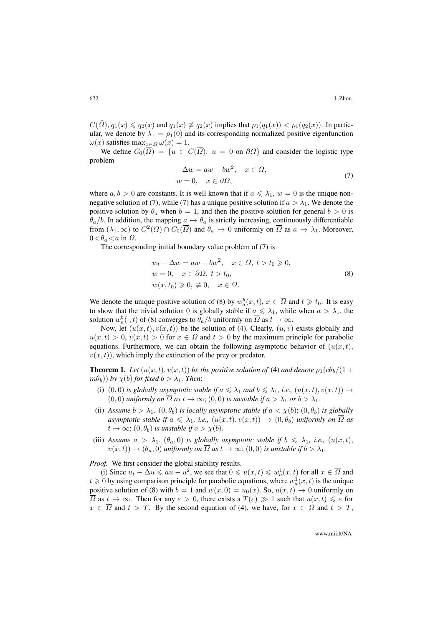$C(\overline{\Omega})$ ,  $q_1(x) \leq q_2(x)$  and  $q_1(x) \neq q_2(x)$  implies that  $\rho_1(q_1(x)) < \rho_1(q_2(x))$ . In particular, we denote by  $\lambda_1 = \rho_1(0)$  and its corresponding normalized positive eigenfunction  $\omega(x)$  satisfies  $\max_{x \in \Omega} \omega(x) = 1$ .

We define  $C_0(\overline{\Omega}) = \{u \in C(\overline{\Omega}) : u = 0 \text{ on } \partial\Omega\}$  and consider the logistic type problem

$$
-\Delta w = aw - bw^{2}, \quad x \in \Omega,
$$
  
\n
$$
w = 0, \quad x \in \partial\Omega,
$$
\n(7)

<span id="page-3-1"></span>where  $a, b > 0$  are constants. It is well known that if  $a \le \lambda_1$ ,  $w = 0$  is the unique non-negative solution of [\(7\)](#page-3-1), while (7) has a unique positive solution if  $a > \lambda_1$ . We denote the positive solution by  $\theta_a$  when  $b = 1$ , and then the positive solution for general  $b > 0$  is  $\theta_a/b$ . In addition, the mapping  $a \mapsto \theta_a$  is strictly increasing, continuously differentiable from  $(\lambda_1, \infty)$  to  $C^2(\Omega) \cap C_0(\overline{\Omega})$  and  $\theta_a \to 0$  uniformly on  $\overline{\Omega}$  as  $a \to \lambda_1$ . Moreover,  $0<\theta_a<\alpha$  in  $\Omega$ .

<span id="page-3-2"></span>The corresponding initial boundary value problem of [\(7\)](#page-3-1) is

$$
w_t - \Delta w = aw - bw^2, \quad x \in \Omega, \ t > t_0 \ge 0,
$$
  
\n
$$
w = 0, \quad x \in \partial\Omega, \ t > t_0,
$$
  
\n
$$
w(x, t_0) \ge 0, \neq 0, \quad x \in \Omega.
$$
\n(8)

We denote the unique positive solution of [\(8\)](#page-3-2) by  $w_a^b(x,t)$ ,  $x \in \overline{\Omega}$  and  $t \geq t_0$ . It is easy to show that the trivial solution 0 is globally stable if  $a \leq \lambda_1$ , while when  $a > \lambda_1$ , the solution  $w_a^b(\cdot, t)$  of [\(8\)](#page-3-2) converges to  $\theta_a/b$  uniformly on  $\overline{\Omega}$  as  $t \to \infty$ .

Now, let  $(u(x, t), v(x, t))$  be the solution of [\(4\)](#page-1-1). Clearly,  $(u, v)$  exists globally and  $u(x,t) > 0$ ,  $v(x,t) > 0$  for  $x \in \Omega$  and  $t > 0$  by the maximum principle for parabolic equations. Furthermore, we can obtain the following asymptotic behavior of  $(u(x, t))$ ,  $v(x, t)$ , which imply the extinction of the prey or predator.

<span id="page-3-0"></span>**Theorem 1.** Let  $(u(x, t), v(x, t))$  be the positive solution of [\(4\)](#page-1-1) and denote  $\rho_1(c\theta_b/(1 +$  $(m\theta_b)$ ) *by*  $\chi(b)$  *for fixed*  $b > \lambda_1$ *. Then:* 

- (i) (0, 0) *is globally asymptotic stable if*  $a \leq \lambda_1$  *and*  $b \leq \lambda_1$ *, i.e.,*  $(u(x,t), v(x,t)) \rightarrow$  $(0, 0)$  *uniformly on*  $\overline{\Omega}$  *as*  $t \to \infty$ ;  $(0, 0)$  *is unstable if*  $a > \lambda_1$  *or*  $b > \lambda_1$ *.*
- (ii) *Assume*  $b > \lambda_1$ .  $(0, \theta_b)$  *is locally asymptotic stable if*  $a < \chi(b)$ ;  $(0, \theta_b)$  *is globally asymptotic stable if*  $a \leq \lambda_1$ , *i.e.*,  $(u(x,t), v(x,t)) \rightarrow (0, \theta_b)$  *uniformly on*  $\overline{\Omega}$  *as*  $t \to \infty$ ;  $(0, \theta_b)$  *is unstable if*  $a > \chi(b)$ *.*
- (iii) Assume  $a > \lambda_1$ .  $(\theta_a, 0)$  *is globally asymptotic stable if*  $b \leq \lambda_1$ *, i.e.,*  $(u(x, t))$ ,  $v(x, t) \rightarrow (\theta_a, 0)$  *uniformly on*  $\overline{\Omega}$  *as*  $t \rightarrow \infty$ ; (0,0) *is unstable if*  $b > \lambda_1$ .

*Proof.* We first consider the global stability results.

(i) Since  $u_t - \Delta u \leq a u - u^2$ , we see that  $0 \leq u(x, t) \leq u_a^1(x, t)$  for all  $x \in \overline{\Omega}$  and  $t \geqslant 0$  by using comparison principle for parabolic equations, where  $w_a^1(x, t)$  is the unique positive solution of [\(8\)](#page-3-2) with  $b = 1$  and  $w(x, 0) = u_0(x)$ . So,  $u(x, t) \rightarrow 0$  uniformly on  $\overline{\Omega}$  as  $t \to \infty$ . Then for any  $\varepsilon > 0$ , there exists a  $T(\varepsilon) \gg 1$  such that  $u(x, t) \leq \varepsilon$  for  $x \in \overline{\Omega}$  and  $t > T$ . By the second equation of [\(4\)](#page-1-1), we have, for  $x \in \Omega$  and  $t > T$ ,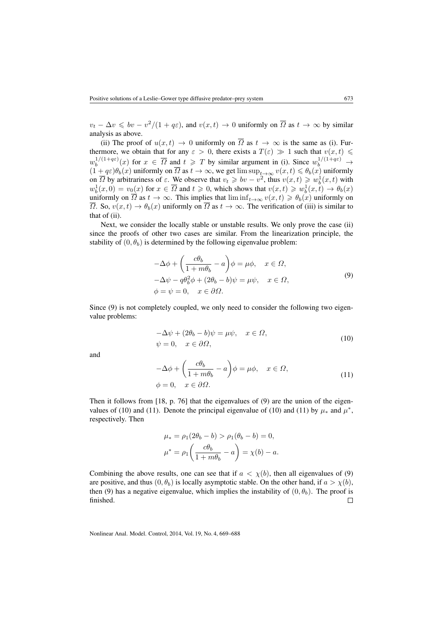$v_t - \Delta v \leq v - v^2/(1 + q\varepsilon)$ , and  $v(x, t) \to 0$  uniformly on  $\overline{\Omega}$  as  $t \to \infty$  by similar analysis as above.

(ii) The proof of  $u(x, t) \to 0$  uniformly on  $\overline{\Omega}$  as  $t \to \infty$  is the same as (i). Furthermore, we obtain that for any  $\varepsilon > 0$ , there exists a  $T(\varepsilon) \gg 1$  such that  $v(x, t) \leq$  $w_b^{1/(1+q\varepsilon)}$  $b^{1/(1+q\varepsilon)}(x)$  for  $x \in \overline{\Omega}$  and  $t \geq T$  by similar argument in (i). Since  $w_b^{1/(1+q\varepsilon)} \to$  $(1 + q\varepsilon)\theta_b(x)$  uniformly on  $\overline{\Omega}$  as  $t \to \infty$ , we get  $\limsup_{t \to \infty} v(x, t) \le \theta_b(x)$  uniformly on  $\overline{\Omega}$  by arbitrariness of  $\varepsilon$ . We observe that  $v_t \geqslant bv - v^2$ , thus  $v(x, t) \geqslant w_b^1(x, t)$  with  $w_b^1(x,0) = v_0(x)$  for  $x \in \overline{\Omega}$  and  $t \ge 0$ , which shows that  $v(x,t) \ge w_b^1(x,t) \to \theta_b(x)$ uniformly on  $\overline{\Omega}$  as  $t \to \infty$ . This implies that  $\liminf_{t \to \infty} v(x, t) \geq \theta_b(x)$  uniformly on  $\overline{\Omega}$ . So,  $v(x, t) \rightarrow \theta_b(x)$  uniformly on  $\overline{\Omega}$  as  $t \rightarrow \infty$ . The verification of (iii) is similar to that of (ii).

Next, we consider the locally stable or unstable results. We only prove the case (ii) since the proofs of other two cases are similar. From the linearization principle, the stability of  $(0, \theta_b)$  is determined by the following eigenvalue problem:

$$
-\Delta \phi + \left(\frac{c\theta_b}{1 + m\theta_b} - a\right)\phi = \mu\phi, \quad x \in \Omega,
$$
  

$$
-\Delta \psi - q\theta_b^2 \phi + (2\theta_b - b)\psi = \mu\psi, \quad x \in \Omega,
$$
  

$$
\phi = \psi = 0, \quad x \in \partial\Omega.
$$
 (9)

<span id="page-4-0"></span>Since [\(9\)](#page-4-0) is not completely coupled, we only need to consider the following two eigenvalue problems:

<span id="page-4-1"></span>
$$
-\Delta \psi + (2\theta_b - b)\psi = \mu \psi, \quad x \in \Omega,
$$
  

$$
\psi = 0, \quad x \in \partial \Omega,
$$
 (10)

and

<span id="page-4-2"></span>
$$
-\Delta \phi + \left(\frac{c\theta_b}{1 + m\theta_b} - a\right)\phi = \mu \phi, \quad x \in \Omega,
$$
  

$$
\phi = 0, \quad x \in \partial\Omega.
$$
 (11)

Then it follows from [\[18,](#page-18-7) p. 76] that the eigenvalues of [\(9\)](#page-4-0) are the union of the eigen-values of [\(10\)](#page-4-1) and [\(11\)](#page-4-2). Denote the principal eigenvalue of (10) and (11) by  $\mu_*$  and  $\mu^*$ , respectively. Then

$$
\mu_* = \rho_1(2\theta_b - b) > \rho_1(\theta_b - b) = 0,
$$
  

$$
\mu^* = \rho_1\left(\frac{c\theta_b}{1 + m\theta_b} - a\right) = \chi(b) - a.
$$

Combining the above results, one can see that if  $a < \chi(b)$ , then all eigenvalues of [\(9\)](#page-4-0) are positive, and thus  $(0, \theta_b)$  is locally asymptotic stable. On the other hand, if  $a > \chi(b)$ , then [\(9\)](#page-4-0) has a negative eigenvalue, which implies the instability of  $(0, \theta_h)$ . The proof is finished.  $\Box$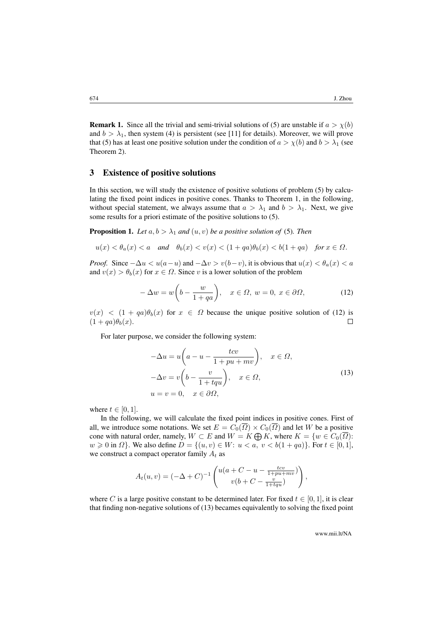<span id="page-5-0"></span>**Remark 1.** Since all the trivial and semi-trivial solutions of [\(5\)](#page-2-0) are unstable if  $a > \chi(b)$ and  $b > \lambda_1$ , then system [\(4\)](#page-1-1) is persistent (see [\[11\]](#page-18-0) for details). Moreover, we will prove that [\(5\)](#page-2-0) has at least one positive solution under the condition of  $a > \chi(b)$  and  $b > \lambda_1$  (see Theorem [2\)](#page-6-0).

#### <span id="page-5-1"></span>3 Existence of positive solutions

In this section, we will study the existence of positive solutions of problem [\(5\)](#page-2-0) by calculating the fixed point indices in positive cones. Thanks to Theorem [1,](#page-3-0) in the following, without special statement, we always assume that  $a > \lambda_1$  and  $b > \lambda_1$ . Next, we give some results for a priori estimate of the positive solutions to [\(5\)](#page-2-0).

<span id="page-5-4"></span>**Proposition 1.** Let  $a, b > \lambda_1$  and  $(u, v)$  be a positive solution of [\(5\)](#page-2-0). Then

$$
u(x) < \theta_a(x) < a \quad \text{and} \quad \theta_b(x) < v(x) < (1 + qa)\theta_b(x) < b(1 + qa) \quad \text{for } x \in \Omega.
$$

*Proof.* Since  $-\Delta u < u(a-u)$  and  $-\Delta v > v(b-v)$ , it is obvious that  $u(x) < \theta_a(x) < a$ and  $v(x) > \theta_b(x)$  for  $x \in \Omega$ . Since v is a lower solution of the problem

<span id="page-5-2"></span>
$$
-\Delta w = w \left( b - \frac{w}{1 + qa} \right), \quad x \in \Omega, \ w = 0, \ x \in \partial \Omega,
$$
 (12)

 $v(x)$  <  $(1 + qa)\theta_b(x)$  for  $x \in \Omega$  because the unique positive solution of [\(12\)](#page-5-2) is  $(1 + qa)\theta_b(x)$ .  $\Box$ 

<span id="page-5-3"></span>For later purpose, we consider the following system:

$$
-\Delta u = u\left(a - u - \frac{tv}{1 + pu + mv}\right), \quad x \in \Omega,
$$
  

$$
-\Delta v = v\left(b - \frac{v}{1 + tqu}\right), \quad x \in \Omega,
$$
  

$$
u = v = 0, \quad x \in \partial\Omega,
$$
 (13)

where  $t \in [0, 1]$ .

In the following, we will calculate the fixed point indices in positive cones. First of all, we introduce some notations. We set  $E = C_0(\overline{\Omega}) \times C_0(\overline{\Omega})$  and let W be a positive cone with natural order, namely,  $W \subset E$  and  $W = K \bigoplus K$ , where  $K = \{w \in C_0(\overline{\Omega})\}$ :  $w \geq 0$  in  $\Omega$ . We also define  $D = \{(u, v) \in W: u < a, v < b(1 + qa)\}\)$ . For  $t \in [0, 1]$ , we construct a compact operator family  $A_t$  as

$$
A_t(u, v) = (-\Delta + C)^{-1} \begin{pmatrix} u(a + C - u - \frac{tcv}{1 + pu + mv}) \\ v(b + C - \frac{v}{1 + tqu}) \end{pmatrix},
$$

where C is a large positive constant to be determined later. For fixed  $t \in [0, 1]$ , it is clear that finding non-negative solutions of [\(13\)](#page-5-3) becames equivalently to solving the fixed point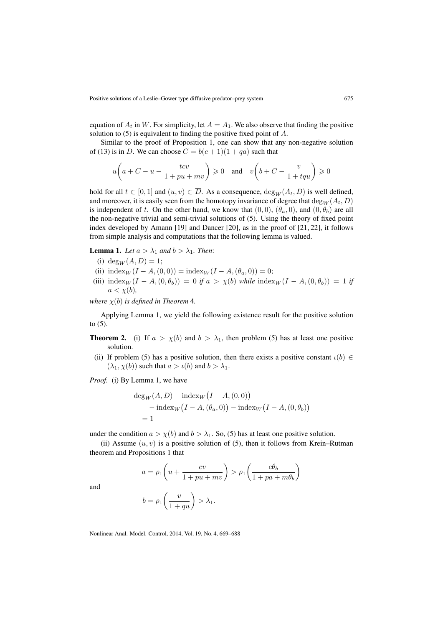equation of  $A_t$  in W. For simplicity, let  $A = A_1$ . We also observe that finding the positive solution to [\(5\)](#page-2-0) is equivalent to finding the positive fixed point of A.

Similar to the proof of Proposition [1,](#page-5-4) one can show that any non-negative solution of [\(13\)](#page-5-3) is in D. We can choose  $C = b(c+1)(1+qa)$  such that

$$
u\bigg(a+C-u-\frac{tcv}{1+pu+mv}\bigg)\geqslant 0\quad\text{and}\quad v\bigg(b+C-\frac{v}{1+tqu}\bigg)\geqslant 0
$$

hold for all  $t \in [0, 1]$  and  $(u, v) \in \overline{D}$ . As a consequence,  $\deg_W(A_t, D)$  is well defined, and moreover, it is easily seen from the homotopy invariance of degree that  $\deg_W(A_t, D)$ is independent of t. On the other hand, we know that  $(0, 0)$ ,  $(\theta_a, 0)$ , and  $(0, \theta_b)$  are all the non-negative trivial and semi-trivial solutions of [\(5\)](#page-2-0). Using the theory of fixed point index developed by Amann [\[19\]](#page-18-8) and Dancer [\[20\]](#page-18-9), as in the proof of [\[21,](#page-18-10) [22\]](#page-18-11), it follows from simple analysis and computations that the following lemma is valued.

<span id="page-6-1"></span>**Lemma 1.** *Let*  $a > \lambda_1$  *and*  $b > \lambda_1$ *. Then:* 

- (i) deg<sub>W</sub> $(A, D) = 1$ ;
- (ii)  $\text{index}_W (I A, (0, 0)) = \text{index}_W (I A, (\theta_a, 0)) = 0;$
- (iii)  $\text{index}_W (I A, (0, \theta_b)) = 0$  *if*  $a > \chi(b)$  *while*  $\text{index}_W (I A, (0, \theta_b)) = 1$  *if*  $a < \chi(b)$ ,

*where*  $\chi(b)$  *is defined in Theorem* [4](#page-11-0)*.* 

Applying Lemma [1,](#page-6-1) we yield the following existence result for the positive solution to [\(5\)](#page-2-0).

- <span id="page-6-0"></span>**Theorem 2.** (i) If  $a > \chi(b)$  and  $b > \lambda_1$ , then problem [\(5\)](#page-2-0) has at least one positive solution.
- (ii) If problem [\(5\)](#page-2-0) has a positive solution, then there exists a positive constant  $\iota(b) \in$  $(\lambda_1, \chi(b))$  such that  $a > \iota(b)$  and  $b > \lambda_1$ .

*Proof.* (i) By Lemma [1,](#page-6-1) we have

$$
deg_W(A, D) - index_W(I - A, (0,0))
$$
  
- index\_W (I - A, (\theta\_a, 0)) - index\_W (I - A, (0, \theta\_b))  
= 1

under the condition  $a > \chi(b)$  and  $b > \lambda_1$ . So, [\(5\)](#page-2-0) has at least one positive solution.

(ii) Assume  $(u, v)$  is a positive solution of [\(5\)](#page-2-0), then it follows from Krein–Rutman theorem and Propositions [1](#page-5-4) that

$$
a = \rho_1 \left( u + \frac{cv}{1 + pu + mv} \right) > \rho_1 \left( \frac{c\theta_b}{1 + pa + m\theta_b} \right)
$$

$$
b = \rho_1 \left( \frac{v}{1 + mv} \right) > \lambda_1.
$$

and

$$
b = \rho_1 \left( \frac{v}{1 + qu} \right) > \lambda_1.
$$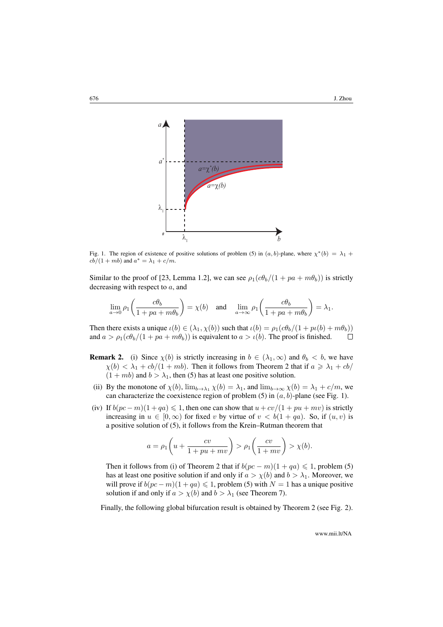<span id="page-7-0"></span>

Fig. 1. The region of existence of positive solutions of problem [\(5\)](#page-2-0) in  $(a, b)$ -plane, where  $\chi^*(b) = \lambda_1 + \lambda_2$  $cb/(1+mb)$  and  $a^* = \lambda_1 + c/m$ .

Similar to the proof of [\[23,](#page-18-12) Lemma 1.2], we can see  $\rho_1(c\theta_b/(1 + pa + m\theta_b))$  is strictly decreasing with respect to a, and

$$
\lim_{a \to 0} \rho_1 \left( \frac{c \theta_b}{1 + pa + m \theta_b} \right) = \chi(b) \quad \text{and} \quad \lim_{a \to \infty} \rho_1 \left( \frac{c \theta_b}{1 + pa + m \theta_b} \right) = \lambda_1.
$$

Then there exists a unique  $\iota(b) \in (\lambda_1, \chi(b))$  such that  $\iota(b) = \rho_1(c\theta_b/(1 + p\iota(b) + m\theta_b))$ and  $a > \rho_1(c\theta_b/(1 + pa + m\theta_b))$  is equivalent to  $a > \iota(b)$ . The proof is finished.  $\Box$ 

- <span id="page-7-1"></span>**Remark 2.** (i) Since  $\chi(b)$  is strictly increasing in  $b \in (\lambda_1, \infty)$  and  $\theta_b < b$ , we have  $\chi(b) < \lambda_1 + cb/(1 + mb)$ . Then it follows from Theorem [2](#page-6-0) that if  $a \ge \lambda_1 + cb/$  $(1 + mb)$  and  $b > \lambda_1$ , then [\(5\)](#page-2-0) has at least one positive solution.
- (ii) By the monotone of  $\chi(b)$ ,  $\lim_{b\to\lambda_1}\chi(b) = \lambda_1$ , and  $\lim_{b\to\infty}\chi(b) = \lambda_1 + c/m$ , we can characterize the coexistence region of problem [\(5\)](#page-2-0) in  $(a, b)$ -plane (see Fig. [1\)](#page-7-0).
- (iv) If  $b(pc-m)(1+qa) \leq 1$ , then one can show that  $u+cv/(1+pu+mv)$  is strictly increasing in  $u \in [0, \infty)$  for fixed v by virtue of  $v < b(1 + qa)$ . So, if  $(u, v)$  is a positive solution of [\(5\)](#page-2-0), it follows from the Krein–Rutman theorem that

$$
a = \rho_1 \left( u + \frac{cv}{1 + pu + mv} \right) > \rho_1 \left( \frac{cv}{1 + mv} \right) > \chi(b).
$$

Then it follows from (i) of Theorem [2](#page-6-0) that if  $b(pc - m)(1 + qa) \leq 1$ , problem [\(5\)](#page-2-0) has at least one positive solution if and only if  $a > \chi(b)$  and  $b > \lambda_1$ . Moreover, we will prove if  $b(pc - m)(1 + qa) \leq 1$ , problem [\(5\)](#page-2-0) with  $N = 1$  has a unique positive solution if and only if  $a > \chi(b)$  and  $b > \lambda_1$  (see Theorem [7\)](#page-16-0).

Finally, the following global bifurcation result is obtained by Theorem [2](#page-6-0) (see Fig. [2\)](#page-8-1).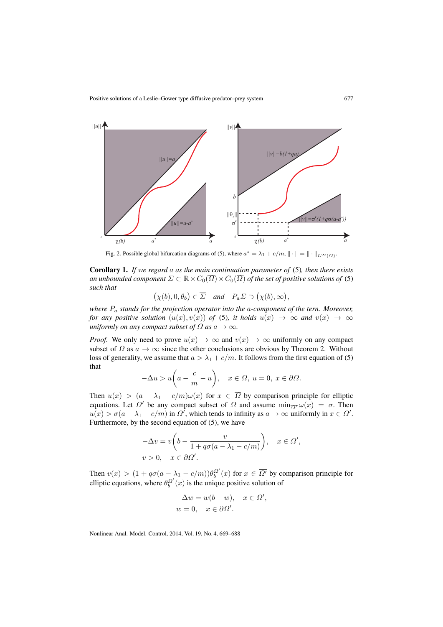<span id="page-8-1"></span>

Fig. 2. Possible global bifurcation diagrams of [\(5\)](#page-2-0), where  $a^* = \lambda_1 + c/m$ ,  $\|\cdot\| = \|\cdot\|_{L^{\infty}(\Omega)}$ .

<span id="page-8-0"></span>Corollary 1. *If we regard* a *as the main continuation parameter of* [\(5\)](#page-2-0)*, then there exists an unbounded component*  $\Sigma \subset \mathbb{R} \times C_0(\overline{\Omega}) \times C_0(\overline{\Omega})$  *of the set of positive solutions of* [\(5\)](#page-2-0) *such that*

 $(\chi(b), 0, \theta_b) \in \overline{\Sigma}$  and  $P_a \Sigma \supset (\chi(b), \infty),$ 

*where*  $P_a$  *stands for the projection operator into the a-component of the tern. Moreover, for any positive solution*  $(u(x), v(x))$  *of* [\(5\)](#page-2-0)*, it holds*  $u(x) \rightarrow \infty$  *and*  $v(x) \rightarrow \infty$ *uniformly on any compact subset of*  $\Omega$  *as*  $a \to \infty$ *.* 

*Proof.* We only need to prove  $u(x) \to \infty$  and  $v(x) \to \infty$  uniformly on any compact subset of  $\Omega$  as  $a \to \infty$  since the other conclusions are obvious by Theorem [2.](#page-6-0) Without loss of generality, we assume that  $a > \lambda_1 + c/m$ . It follows from the first equation of [\(5\)](#page-2-0) that

$$
-\Delta u > u\bigg(a - \frac{c}{m} - u\bigg), \quad x \in \Omega, \ u = 0, \ x \in \partial\Omega.
$$

Then  $u(x) > (a - \lambda_1 - c/m)\omega(x)$  for  $x \in \overline{\Omega}$  by comparison principle for elliptic equations. Let  $\Omega'$  be any compact subset of  $\Omega$  and assume  $\min_{\Omega} \omega(x) = \sigma$ . Then  $u(x) > \sigma(a - \lambda_1 - c/m)$  in  $\Omega'$ , which tends to infinity as  $a \to \infty$  uniformly in  $x \in \Omega'$ . Furthermore, by the second equation of [\(5\)](#page-2-0), we have

$$
-\Delta v = v \left( b - \frac{v}{1 + q \sigma (a - \lambda_1 - c/m)} \right), \quad x \in \Omega',
$$
  

$$
v > 0, \quad x \in \partial \Omega'.
$$

Then  $v(x) > (1 + q\sigma(a - \lambda_1 - c/m))\theta_b^{\Omega'}(x)$  for  $x \in \overline{\Omega'}$  by comparison principle for elliptic equations, where  $\theta_b^{Q'}(x)$  is the unique positive solution of

$$
-\Delta w = w(b - w), \quad x \in \Omega',
$$
  

$$
w = 0, \quad x \in \partial\Omega'.
$$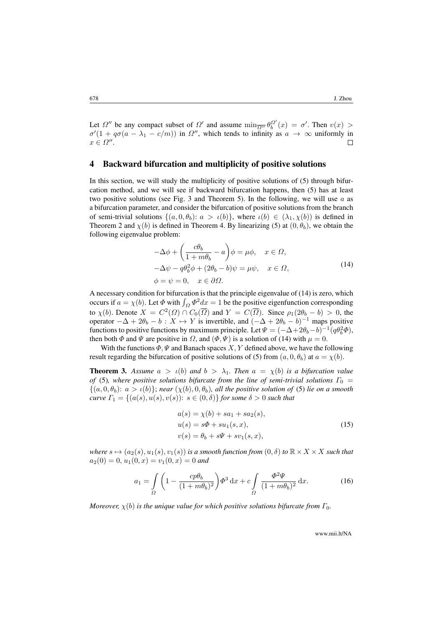Let  $\Omega''$  be any compact subset of  $\Omega'$  and assume  $\min_{\overline{\Omega''}} \theta_b^{\Omega'}(x) = \sigma'$ . Then  $v(x) >$  $\sigma'(1 + q\sigma(a - \lambda_1 - c/m))$  in  $\Omega''$ , which tends to infinity as  $a \to \infty$  uniformly in  $x \in \Omega''$ . П

#### <span id="page-9-0"></span>4 Backward bifurcation and multiplicity of positive solutions

In this section, we will study the multiplicity of positive solutions of [\(5\)](#page-2-0) through bifurcation method, and we will see if backward bifurcation happens, then [\(5\)](#page-2-0) has at least two positive solutions (see Fig. [3](#page-13-0) and Theorem [5\)](#page-12-0). In the following, we will use  $a$  as a bifurcation parameter, and consider the bifurcation of positive solutions from the branch of semi-trivial solutions  $\{(a, 0, \theta_b): a > \iota(b)\}$ , where  $\iota(b) \in (\lambda_1, \chi(b))$  is defined in Theorem [2](#page-6-0) and  $\chi(b)$  is defined in Theorem [4.](#page-11-0) By linearizing [\(5\)](#page-2-0) at  $(0, \theta_b)$ , we obtain the following eigenvalue problem:

$$
-\Delta \phi + \left(\frac{c\theta_b}{1 + m\theta_b} - a\right)\phi = \mu\phi, \quad x \in \Omega,
$$
  

$$
-\Delta \psi - q\theta_b^2 \phi + (2\theta_b - b)\psi = \mu\psi, \quad x \in \Omega,
$$
  

$$
\phi = \psi = 0, \quad x \in \partial\Omega.
$$
 (14)

<span id="page-9-1"></span>A necessary condition for bifurcation is that the principle eigenvalue of [\(14\)](#page-9-1) is zero, which occurs if  $a = \chi(b)$ . Let  $\Phi$  with  $\int_{\Omega} \Phi^2 dx = 1$  be the positive eigenfunction corresponding to  $\chi(b)$ . Denote  $X = C^2(\Omega) \cap C_0(\overline{\Omega})$  and  $Y = C(\overline{\Omega})$ . Since  $\rho_1(2\theta_b - b) > 0$ , the operator  $-\Delta + 2\theta_b - b : X \mapsto Y$  is invertible, and  $(-\Delta + 2\theta_b - b)^{-1}$  maps positive functions to positive functions by maximum principle. Let  $\Psi = (-\Delta + 2\theta_b - b)^{-1} (q\theta_b^2 \Phi)$ , then both  $\Phi$  and  $\Psi$  are positive in  $\Omega$ , and  $(\Phi, \Psi)$  is a solution of [\(14\)](#page-9-1) with  $\mu = 0$ .

With the functions  $\Phi, \Psi$  and Banach spaces  $X, Y$  defined above, we have the following result regarding the bifurcation of positive solutions of [\(5\)](#page-2-0) from  $(a, 0, \theta_b)$  at  $a = \chi(b)$ .

<span id="page-9-3"></span>**Theorem 3.** Assume  $a > \iota(b)$  and  $b > \lambda_1$ . Then  $a = \chi(b)$  is a bifurcation value *of* [\(5\)](#page-2-0)*, where positive solutions bifurcate from the line of semi-trivial solutions*  $\Gamma_0 =$  $\{(a, 0, \theta_b): a > \iota(b)\}$ ; *near*  $(\chi(b), 0, \theta_b)$ *, all the positive solution of* [\(5\)](#page-2-0) *lie on a smooth curve*  $\Gamma_1 = \{(a(s), u(s), v(s)) : s \in (0, \delta)\}$  *for some*  $\delta > 0$  *such that* 

$$
a(s) = \chi(b) + sa_1 + sa_2(s),
$$
  
\n
$$
u(s) = s\Phi + su_1(s, x),
$$
  
\n
$$
v(s) = \theta_b + s\Psi + sv_1(s, x),
$$
\n(15)

<span id="page-9-2"></span>*where*  $s \mapsto (a_2(s), u_1(s), v_1(s))$  *is a smooth function from*  $(0, \delta)$  *to*  $\mathbb{R} \times X \times X$  *such that*  $a_2(0) = 0, u_1(0, x) = v_1(0, x) = 0$  and

<span id="page-9-4"></span>
$$
a_1 = \int_{\Omega} \left( 1 - \frac{cp\theta_b}{(1 + m\theta_b)^2} \right) \Phi^3 \, dx + c \int_{\Omega} \frac{\Phi^2 \Psi}{(1 + m\theta_b)^2} \, dx. \tag{16}
$$

*Moreover,*  $\chi(b)$  *is the unique value for which positive solutions bifurcate from*  $\Gamma_0$ *.*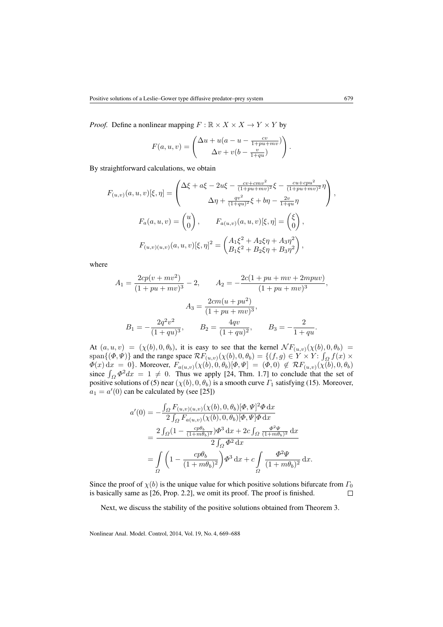*Proof.* Define a nonlinear mapping  $F : \mathbb{R} \times X \times X \to Y \times Y$  by

$$
F(a, u, v) = \begin{pmatrix} \Delta u + u(a - u - \frac{cv}{1 + pu + mv}) \\ \Delta v + v(b - \frac{v}{1 + qu}) \end{pmatrix}.
$$

By straightforward calculations, we obtain

$$
F_{(u,v)}(a, u, v)[\xi, \eta] = \begin{pmatrix} \Delta \xi + a\xi - 2u\xi - \frac{cv + cmv^2}{(1 + pu + mv)^2} \xi - \frac{cu + cpu^2}{(1 + pu + mv)^2} \eta \\ \Delta \eta + \frac{qv^2}{(1 + qu)^2} \xi + b\eta - \frac{2v}{1 + qu} \eta \end{pmatrix},
$$

$$
F_a(a, u, v) = \begin{pmatrix} u \\ 0 \end{pmatrix}, \qquad F_{a(u,v)}(a, u, v)[\xi, \eta] = \begin{pmatrix} \xi \\ 0 \end{pmatrix},
$$

$$
F_{(u,v)(u,v)}(a, u, v)[\xi, \eta]^2 = \begin{pmatrix} A_1 \xi^2 + A_2 \xi \eta + A_3 \eta^2 \\ B_1 \xi^2 + B_2 \xi \eta + B_3 \eta^2 \end{pmatrix},
$$

where

$$
A_1 = \frac{2cp(v + mv^2)}{(1 + pu + mv)^3} - 2, \qquad A_2 = -\frac{2c(1 + pu + mv + 2mpuv)}{(1 + pu + mv)^3},
$$

$$
A_3 = \frac{2cm(u + pu^2)}{(1 + pu + mv)^3},
$$

$$
B_1 = -\frac{2q^2v^2}{(1 + qu)^3}, \qquad B_2 = \frac{4qv}{(1 + qu)^2}, \qquad B_3 = -\frac{2}{1 + qu}.
$$

At  $(a, u, v) = (\chi(b), 0, \theta_b)$ , it is easy to see that the kernel  $\mathcal{N}F_{(u, v)}(\chi(b), 0, \theta_b)$ span $\{(\Phi, \Psi)\}\$  and the range space  $\mathcal{R}F_{(u,v)}(\chi(b), 0, \theta_b) = \{(f, g) \in Y \times Y: \int_{\Omega} f(x) \times$  $\Phi(x) dx = 0$ . Moreover,  $F_{a(u,v)}(\chi(b), 0, \theta_b)[\Phi, \Psi] = (\Phi, 0) \notin \mathcal{R}F_{(u,v)}(\chi(b), 0, \theta_b)$ since  $\int_{\Omega} \Phi^2 dx = 1 \neq 0$ . Thus we apply [\[24,](#page-18-13) Thm. 1.7] to conclude that the set of positive solutions of [\(5\)](#page-2-0) near  $(\chi(b), 0, \theta_b)$  is a smooth curve  $\Gamma_1$  satisfying [\(15\)](#page-9-2). Moreover,  $a_1 = a'(0)$  can be calculated by (see [\[25\]](#page-18-14))

$$
a'(0) = -\frac{\int_{\Omega} F_{(u,v)(u,v)}(\chi(b), 0, \theta_b)[\Phi, \Psi]^2 \Phi \, dx}{2 \int_{\Omega} F_{a(u,v)}(\chi(b), 0, \theta_b)[\Phi, \Psi] \Phi \, dx}
$$
  
= 
$$
\frac{2 \int_{\Omega} (1 - \frac{cp\theta_b}{(1+m\theta_b)^2}) \Phi^3 \, dx + 2c \int_{\Omega} \frac{\Phi^2 \Psi}{(1+m\theta_b)^2} \, dx}{2 \int_{\Omega} \Phi^2 \, dx}
$$
  
= 
$$
\int_{\Omega} \left( 1 - \frac{cp\theta_b}{(1+m\theta_b)^2} \right) \Phi^3 \, dx + c \int_{\Omega} \frac{\Phi^2 \Psi}{(1+m\theta_b)^2} \, dx.
$$

Since the proof of  $\chi(b)$  is the unique value for which positive solutions bifurcate from  $\Gamma_0$ is basically same as [\[26,](#page-18-15) Prop. 2.2], we omit its proof. The proof is finished.  $\Box$ 

Next, we discuss the stability of the positive solutions obtained from Theorem [3.](#page-9-3)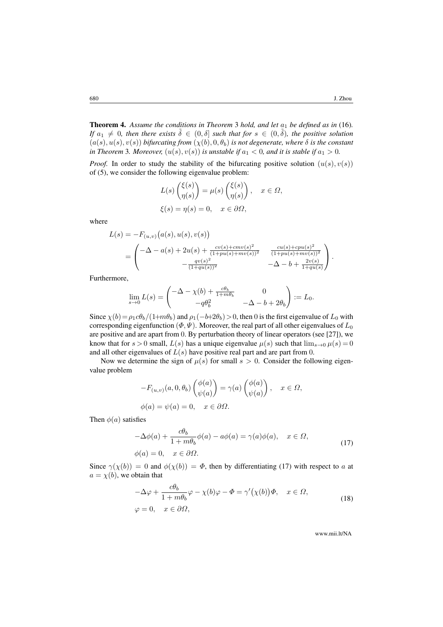<span id="page-11-0"></span>**Theorem 4.** Assume the conditions in Theorem [3](#page-9-3) hold, and let  $a_1$  be defined as in [\(16\)](#page-9-4). *If*  $a_1 \neq 0$ , then there exists  $\tilde{\delta} \in (0, \delta]$  such that for  $s \in (0, \tilde{\delta})$ , the positive solution  $(a(s), u(s), v(s))$  *bifurcating from*  $(\chi(b), 0, \theta_b)$  *is not degenerate, where*  $\delta$  *is the constant in Theorem* [3](#page-9-3)*. Moreover,*  $(u(s), v(s))$  *is unstable if*  $a_1 < 0$ *, and it is stable if*  $a_1 > 0$ *.* 

*Proof.* In order to study the stability of the bifurcating positive solution  $(u(s), v(s))$ of [\(5\)](#page-2-0), we consider the following eigenvalue problem:

$$
L(s) \begin{pmatrix} \xi(s) \\ \eta(s) \end{pmatrix} = \mu(s) \begin{pmatrix} \xi(s) \\ \eta(s) \end{pmatrix}, \quad x \in \Omega,
$$
  

$$
\xi(s) = \eta(s) = 0, \quad x \in \partial\Omega,
$$

where

$$
L(s) = -F_{(u,v)}(a(s), u(s), v(s))
$$
  
= 
$$
\begin{pmatrix} -\Delta - a(s) + 2u(s) + \frac{cv(s) + cmv(s)^2}{(1+pu(s) + mv(s))^2} & \frac{cu(s) + cpu(s)^2}{(1+pu(s) + mv(s))^2} \\ -\frac{qv(s)^2}{(1+qu(s))^2} & -\Delta - b + \frac{2v(s)}{1+qu(s)} \end{pmatrix}.
$$

Furthermore,

$$
\lim_{s \to 0} L(s) = \begin{pmatrix} -\Delta - \chi(b) + \frac{c\theta_b}{1 + m\theta_b} & 0 \\ -q\theta_b^2 & -\Delta - b + 2\theta_b \end{pmatrix} := L_0.
$$

Since  $\chi(b) = \rho_1 c \theta_b/(1+m\theta_b)$  and  $\rho_1(-b+2\theta_b) > 0$ , then 0 is the first eigenvalue of  $L_0$  with corresponding eigenfunction ( $\Phi$ ,  $\Psi$ ). Moreover, the real part of all other eigenvalues of  $L_0$ are positive and are apart from 0. By perturbation theory of linear operators (see [\[27\]](#page-18-16)), we know that for  $s > 0$  small,  $L(s)$  has a unique eigenvalue  $\mu(s)$  such that  $\lim_{s\to 0} \mu(s) = 0$ and all other eigenvalues of  $L(s)$  have positive real part and are part from 0.

Now we determine the sign of  $\mu(s)$  for small  $s > 0$ . Consider the following eigenvalue problem

$$
-F_{(u,v)}(a,0,\theta_b) \begin{pmatrix} \phi(a) \\ \psi(a) \end{pmatrix} = \gamma(a) \begin{pmatrix} \phi(a) \\ \psi(a) \end{pmatrix}, \quad x \in \Omega,
$$
  

$$
\phi(a) = \psi(a) = 0, \quad x \in \partial\Omega.
$$

<span id="page-11-1"></span>Then  $\phi(a)$  satisfies

$$
-\Delta\phi(a) + \frac{c\theta_b}{1 + m\theta_b}\phi(a) - a\phi(a) = \gamma(a)\phi(a), \quad x \in \Omega,
$$
  

$$
\phi(a) = 0, \quad x \in \partial\Omega.
$$
 (17)

<span id="page-11-2"></span>Since  $\gamma(\chi(b)) = 0$  and  $\phi(\chi(b)) = \Phi$ , then by differentiating [\(17\)](#page-11-1) with respect to a at  $a = \chi(b)$ , we obtain that

$$
-\Delta \varphi + \frac{c\theta_b}{1 + m\theta_b} \varphi - \chi(b)\varphi - \Phi = \gamma'(\chi(b))\Phi, \quad x \in \Omega,
$$
  

$$
\varphi = 0, \quad x \in \partial\Omega,
$$
 (18)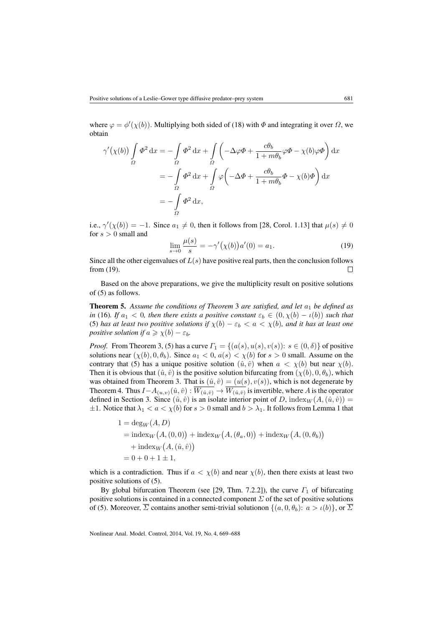where  $\varphi = \varphi'(\chi(b))$ . Multiplying both sided of [\(18\)](#page-11-2) with  $\Phi$  and integrating it over  $\Omega$ , we obtain

$$
\gamma'(\chi(b)) \int_{\Omega} \Phi^2 dx = -\int_{\Omega} \Phi^2 dx + \int_{\Omega} \left( -\Delta \varphi \Phi + \frac{c\theta_b}{1 + m\theta_b} \varphi \Phi - \chi(b)\varphi \Phi \right) dx
$$
  
= 
$$
-\int_{\Omega} \Phi^2 dx + \int_{\Omega} \varphi \left( -\Delta \Phi + \frac{c\theta_b}{1 + m\theta_b} \Phi - \chi(b)\Phi \right) dx
$$
  
= 
$$
-\int_{\Omega} \Phi^2 dx,
$$

i.e.,  $\gamma'(\chi(b)) = -1$ . Since  $a_1 \neq 0$ , then it follows from [\[28,](#page-18-17) Corol. 1.13] that  $\mu(s) \neq 0$ for  $s > 0$  small and

<span id="page-12-1"></span>
$$
\lim_{s \to 0} \frac{\mu(s)}{s} = -\gamma'(\chi(b))a'(0) = a_1.
$$
\n(19)

Since all the other eigenvalues of  $L(s)$  have positive real parts, then the conclusion follows from [\(19\)](#page-12-1).  $\Box$ 

Based on the above preparations, we give the multiplicity result on positive solutions of [\(5\)](#page-2-0) as follows.

<span id="page-12-0"></span>**Theorem 5.** Assume the conditions of Theorem [3](#page-9-3) are satisfied, and let  $a_1$  be defined as *in* [\(16\)](#page-9-4)*.* If  $a_1 < 0$ , then there exists a positive constant  $\varepsilon_b \in (0, \chi(b) - \iota(b))$  such that [\(5\)](#page-2-0) has at least two positive solutions if  $\chi(b) - \varepsilon_b < a < \chi(b)$ , and it has at least one *positive solution if*  $a \ge \chi(b) - \varepsilon_b$ *.* 

*Proof.* From Theorem [3,](#page-9-3) [\(5\)](#page-2-0) has a curve  $\Gamma_1 = \{(a(s), u(s), v(s)) : s \in (0, \delta)\}\$  of positive solutions near  $(\chi(b), 0, \theta_b)$ . Since  $a_1 < 0$ ,  $a(s) < \chi(b)$  for  $s > 0$  small. Assume on the contrary that [\(5\)](#page-2-0) has a unique positive solution  $(\hat{u}, \hat{v})$  when  $a < \chi(b)$  but near  $\chi(b)$ . Then it is obvious that  $(\hat{u}, \hat{v})$  is the positive solution bifurcating from  $(\chi(b), 0, \theta_b)$ , which was obtained from Theorem [3.](#page-9-3) That is  $(\hat{u}, \hat{v}) = (u(s), v(s))$ , which is not degenerate by Theorem [4.](#page-11-0) Thus  $I - A_{(u,v)}(\hat{u}, \hat{v}) : \overline{W_{(\hat{u}, \hat{v})}} \to \overline{W_{(\hat{u}, \hat{v})}}$  is invertible, where A is the operator defined in Section [3.](#page-5-1) Since  $(\hat{u}, \hat{v})$  is an isolate interior point of D, index $_W(A, (\hat{u}, \hat{v})) =$  $\pm 1$  $\pm 1$ . Notice that  $\lambda_1 < a < \chi(b)$  for  $s > 0$  small and  $b > \lambda_1$ . It follows from Lemma 1 that

$$
1 = \deg_W(A, D)
$$
  
= index<sub>W</sub>(A, (0,0)) + index<sub>W</sub>(A, (\theta\_a, 0)) + index<sub>W</sub>(A, (0, \theta\_b))  
+ index<sub>W</sub>(A, (\hat{u}, \hat{v}))  
= 0 + 0 + 1 ± 1,

which is a contradiction. Thus if  $a < \chi(b)$  and near  $\chi(b)$ , then there exists at least two positive solutions of [\(5\)](#page-2-0).

By global bifurcation Theorem (see [\[29,](#page-19-0) Thm. 7.2.2]), the curve  $\Gamma_1$  of bifurcating positive solutions is contained in a connected component  $\Sigma$  of the set of positive solutions of [\(5\)](#page-2-0). Moreover,  $\overline{\Sigma}$  contains another semi-trivial solutionon  $\{(a, 0, \theta_b): a > \iota(b)\}$ , or  $\overline{\Sigma}$ 

Nonlinear Anal. Model. Control, 2014, Vol. 19, No. 4, 669–688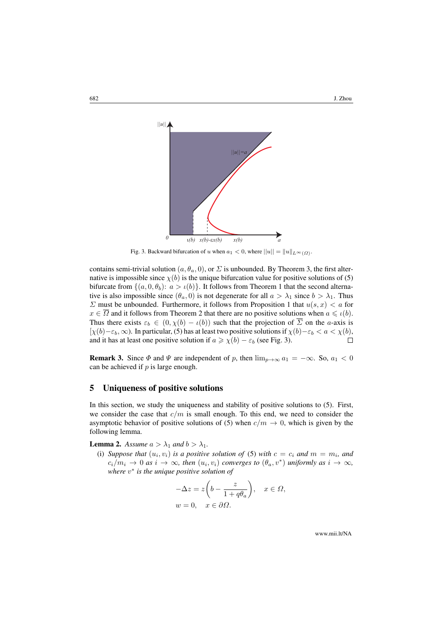<span id="page-13-0"></span>

Fig. 3. Backward bifurcation of u when  $a_1 < 0$ , where  $||u|| = ||u||_{L^{\infty}(\Omega)}$ .

contains semi-trivial solution  $(a, \theta_a, 0)$ , or  $\Sigma$  is unbounded. By Theorem [3,](#page-9-3) the first alternative is impossible since  $\chi(b)$  is the unique bifurcation value for positive solutions of [\(5\)](#page-2-0) bifurcate from  $\{(a, 0, \theta_b): a > \iota(b)\}$ . It follows from Theorem [1](#page-3-0) that the second alternative is also impossible since  $(\theta_a, 0)$  is not degenerate for all  $a > \lambda_1$  since  $b > \lambda_1$ . Thus  $\Sigma$  must be unbounded. Furthermore, it follows from Proposition [1](#page-5-4) that  $u(s, x) < a$  for  $x \in \overline{\Omega}$  and it follows from Theorem [2](#page-6-0) that there are no positive solutions when  $a \leq \iota(b)$ . Thus there exists  $\varepsilon_b \in (0, \chi(b) - \iota(b))$  such that the projection of  $\overline{\Sigma}$  on the *a*-axis is  $[\chi(b)-\varepsilon_b,\infty)$ . In particular, [\(5\)](#page-2-0) has at least two positive solutions if  $\chi(b)-\varepsilon_b < a < \chi(b)$ , and it has at least one positive solution if  $a \ge \chi(b) - \varepsilon_b$  (see Fig. [3\)](#page-13-0).  $\Box$ 

**Remark 3.** Since  $\Phi$  and  $\Psi$  are independent of p, then  $\lim_{p\to\infty} a_1 = -\infty$ . So,  $a_1 < 0$ can be achieved if  $p$  is large enough.

## 5 Uniqueness of positive solutions

In this section, we study the uniqueness and stability of positive solutions to [\(5\)](#page-2-0). First, we consider the case that  $c/m$  is small enough. To this end, we need to consider the asymptotic behavior of positive solutions of [\(5\)](#page-2-0) when  $c/m \rightarrow 0$ , which is given by the following lemma.

<span id="page-13-1"></span>**Lemma 2.** *Assume*  $a > \lambda_1$  *and*  $b > \lambda_1$ *.* 

(i) Suppose that  $(u_i, v_i)$  is a positive solution of [\(5\)](#page-2-0) with  $c = c_i$  and  $m = m_i$ , and  $c_i/m_i \to 0$  *as*  $i \to \infty$ *, then*  $(u_i, v_i)$  *converges to*  $(\theta_a, v^*)$  *uniformly as*  $i \to \infty$ *, where* v ∗ *is the unique positive solution of*

$$
-\Delta z = z \left( b - \frac{z}{1 + q\theta_a} \right), \quad x \in \Omega,
$$
  

$$
w = 0, \quad x \in \partial \Omega.
$$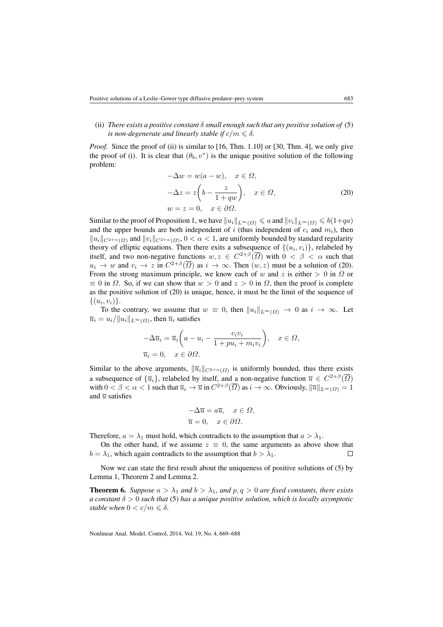#### (ii) *There exists a positive constant* δ *small enough such that any positive solution of* [\(5\)](#page-2-0) *is non-degenerate and linearly stable if*  $c/m \leq \delta$ .

*Proof.* Since the proof of (ii) is similar to [\[16,](#page-18-5) Thm. 1.10] or [\[30,](#page-19-1) Thm. 4], we only give the proof of (i). It is clear that  $(\theta_b, v^*)$  is the unique positive solution of the following problem:

$$
-\Delta w = w(a - w), \quad x \in \Omega,
$$
  

$$
-\Delta z = z\left(b - \frac{z}{1 + qw}\right), \quad x \in \Omega,
$$
  

$$
w = z = 0, \quad x \in \partial\Omega.
$$
 (20)

<span id="page-14-1"></span>Similar to the proof of Proposition [1,](#page-5-4) we have  $||u_i||_{L^{\infty}(\Omega)} \le a$  and  $||v_i||_{L^{\infty}(\Omega)} \le b(1+qa)$ and the upper bounds are both independent of  $i$  (thus independent of  $c_i$  and  $m_i$ ), then  $||u_i||_{C^{2+\alpha}(\Omega)}$  and  $||v_i||_{C^{2+\alpha}(\Omega)}$ ,  $0 < \alpha < 1$ , are uniformly bounded by standard regularity theory of elliptic equations. Then there exits a subsequence of  $\{(u_i, v_i)\}\)$ , relabeled by itself, and two non-negative functions  $w, z \in C^{2+\beta}(\overline{\Omega})$  with  $0 < \beta < \alpha$  such that  $u_i \to w$  and  $v_i \to z$  in  $C^{2+\beta}(\overline{\Omega})$  as  $i \to \infty$ . Then  $(w, z)$  must be a solution of [\(20\)](#page-14-1). From the strong maximum principle, we know each of w and z is either  $> 0$  in  $\Omega$  or  $\equiv 0$  in  $\Omega$ . So, if we can show that  $w > 0$  and  $z > 0$  in  $\Omega$ , then the proof is complete as the positive solution of [\(20\)](#page-14-1) is unique, hence, it must be the limit of the sequence of  $\{(u_i, v_i)\}.$ 

To the contrary, we assume that  $w \equiv 0$ , then  $||u_i||_{L^{\infty}(\Omega)} \to 0$  as  $i \to \infty$ . Let  $\overline{u}_i = u_i / \|u_i\|_{L^{\infty}(\Omega)}$ , then  $\overline{u}_i$  satisfies

$$
-\Delta \overline{u}_i = \overline{u}_i \left( a - u_i - \frac{c_i v_i}{1 + p u_i + m_i v_i} \right), \quad x \in \Omega,
$$
  

$$
\overline{u}_i = 0, \quad x \in \partial \Omega.
$$

Similar to the above arguments,  $\|\overline{u}_i\|_{C^{2+\alpha}(\Omega)}$  is uniformly bounded, thus there exists a subsequence of  $\{\overline{u}_i\}$ , relabeled by itself, and a non-negative function  $\overline{u} \in C^{2+\beta}(\overline{\Omega})$ with  $0 < \beta < \alpha < 1$  such that  $\overline{u}_i \to \overline{u}$  in  $C^{2+\beta}(\overline{\Omega})$  as  $i \to \infty$ . Obviously,  $\|\overline{u}\|_{L^{\infty}(\Omega)} = 1$ and  $\overline{u}$  satisfies

$$
-\Delta \overline{u} = a\overline{u}, \quad x \in \Omega,
$$
  

$$
\overline{u} = 0, \quad x \in \partial \Omega.
$$

Therefore,  $a = \lambda_1$  must hold, which contradicts to the assumption that  $a > \lambda_1$ .

On the other hand, if we assume  $z \equiv 0$ , the same arguments as above show that  $b = \lambda_1$ , which again contradicts to the assumption that  $b > \lambda_1$ .  $\Box$ 

Now we can state the first result about the uniqueness of positive solutions of [\(5\)](#page-2-0) by Lemma [1,](#page-6-1) Theorem [2](#page-6-0) and Lemma [2.](#page-13-1)

<span id="page-14-0"></span>**Theorem 6.** Suppose  $a > \lambda_1$  and  $b > \lambda_1$ , and  $p, q > 0$  are fixed constants, there exists *a constant*  $\delta > 0$  *such that* [\(5\)](#page-2-0) *has a unique positive solution, which is locally asymptotic stable when*  $0 < c/m \leq \delta$ .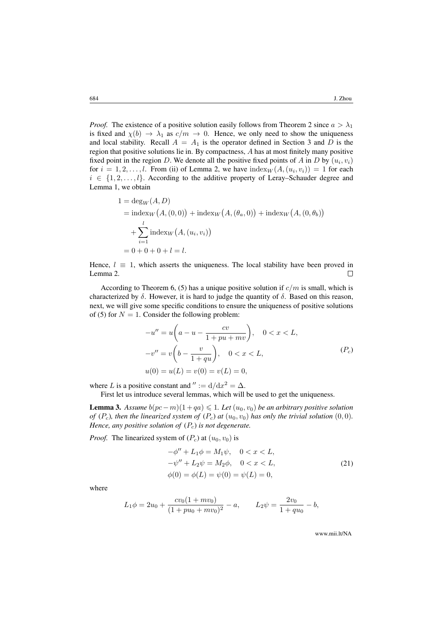*Proof.* The existence of a positive solution easily follows from Theorem [2](#page-6-0) since  $a > \lambda_1$ is fixed and  $\chi(b) \to \lambda_1$  as  $c/m \to 0$ . Hence, we only need to show the uniqueness and local stability. Recall  $A = A_1$  is the operator defined in Section [3](#page-5-1) and D is the region that positive solutions lie in. By compactness, A has at most finitely many positive fixed point in the region D. We denote all the positive fixed points of A in D by  $(u_i, v_i)$ for  $i = 1, 2, \ldots, l$  $i = 1, 2, \ldots, l$  $i = 1, 2, \ldots, l$ . From (ii) of Lemma 2, we have  $\text{index}_{W}(A, (u_i, v_i)) = 1$  for each  $i \in \{1, 2, \ldots, l\}$ . According to the additive property of Leray–Schauder degree and Lemma [1,](#page-6-1) we obtain

$$
1 = \deg_W(A, D)
$$
  
=  $\text{index}_W(A, (0, 0)) + \text{index}_W(A, (\theta_a, 0)) + \text{index}_W(A, (0, \theta_b))$   
+  $\sum_{i=1}^{l} \text{index}_W(A, (u_i, v_i))$   
= 0 + 0 + 0 + l = l.

Hence,  $l \equiv 1$ , which asserts the uniqueness. The local stability have been proved in Lemma [2.](#page-13-1)  $\Box$ 

According to Theorem [6,](#page-14-0) [\(5\)](#page-2-0) has a unique positive solution if  $c/m$  is small, which is characterized by  $\delta$ . However, it is hard to judge the quantity of  $\delta$ . Based on this reason, next, we will give some specific conditions to ensure the uniqueness of positive solutions of [\(5\)](#page-2-0) for  $N = 1$ . Consider the following problem:

<span id="page-15-0"></span>
$$
-u'' = u\left(a - u - \frac{cv}{1 + pu + mv}\right), \quad 0 < x < L,
$$
\n
$$
-v'' = v\left(b - \frac{v}{1 + qu}\right), \quad 0 < x < L,
$$
\n
$$
u(0) = u(L) = v(0) = v(L) = 0,
$$
\n
$$
(P_c) = 0
$$

<span id="page-15-1"></span>where L is a positive constant and  $\prime\prime := d/dx^2 = \Delta$ .

First let us introduce several lemmas, which will be used to get the uniqueness.

<span id="page-15-2"></span>**Lemma 3.** *Assume*  $b(pc-m)(1+qa) ≤ 1$ *. Let*  $(u_0, v_0)$  *be an arbitrary positive solution of*  $(P_c)$  $(P_c)$  $(P_c)$ *, then the linearized system of*  $(P_c)$  *at*  $(u_0, v_0)$  *has only the trivial solution*  $(0, 0)$ *. Hence, any positive solution of*  $(P_c)$  $(P_c)$  $(P_c)$  *is not degenerate.* 

*[P](#page-15-0)roof.* The linearized system of  $(P_c)$  at  $(u_0, v_0)$  is

$$
-\phi'' + L_1 \phi = M_1 \psi, \quad 0 < x < L,\n-\psi'' + L_2 \psi = M_2 \phi, \quad 0 < x < L,\n\phi(0) = \phi(L) = \psi(0) = \psi(L) = 0,
$$
\n(21)

where

$$
L_1 \phi = 2u_0 + \frac{cv_0(1 + mv_0)}{(1 + pu_0 + mv_0)^2} - a, \qquad L_2 \psi = \frac{2v_0}{1 + qu_0} - b,
$$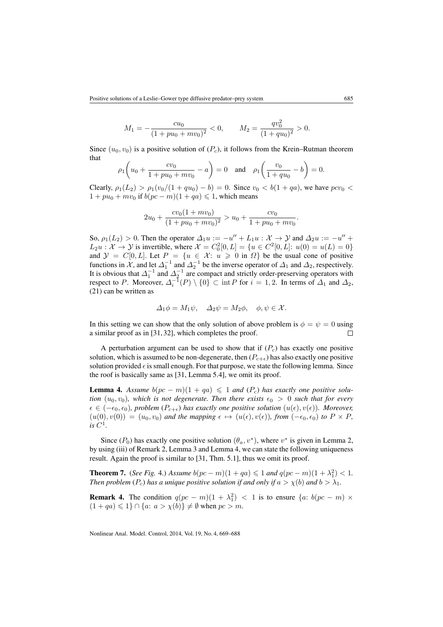$$
M_1 = -\frac{cu_0}{(1 + pu_0 + mv_0)^2} < 0, \qquad M_2 = \frac{qv_0^2}{(1 + qu_0)^2} > 0.
$$

Since  $(u_0, v_0)$  is a positive solution of  $(P_c)$  $(P_c)$  $(P_c)$ , it follows from the Krein–Rutman theorem that

$$
\rho_1\left(u_0 + \frac{cv_0}{1 + pu_0 + mv_0} - a\right) = 0
$$
 and  $\rho_1\left(\frac{v_0}{1 + qu_0} - b\right) = 0.$ 

Clearly,  $\rho_1(L_2) > \rho_1(v_0/(1+qu_0)-b) = 0$ . Since  $v_0 < b(1+qa)$ , we have  $pcv_0 <$  $1 + pu_0 + mv_0$  if  $b(pc - m)(1 + qa) \leq 1$ , which means

$$
2u_0 + \frac{cv_0(1 + mv_0)}{(1 + pu_0 + mv_0)^2} > u_0 + \frac{cv_0}{1 + pu_0 + mv_0}.
$$

So,  $\rho_1(L_2) > 0$ . Then the operator  $\Delta_1 u := -u'' + L_1 u : \mathcal{X} \to \mathcal{Y}$  and  $\Delta_2 u := -u'' + L_1 u$  $L_2 u : \mathcal{X} \to \mathcal{Y}$  is invertible, where  $\mathcal{X} = C_0^2 [0, L] = \{ u \in C^2 [0, L] : u(0) = u(L) = 0 \}$ and  $\mathcal{Y} = C[0, L]$ . Let  $P = \{u \in \mathcal{X} : u \geq 0 \text{ in } \Omega\}$  be the usual cone of positive functions in X, and let  $\Delta_1^{-1}$  and  $\Delta_2^{-1}$  be the inverse operator of  $\Delta_1$  and  $\Delta_2$ , respectively. It is obvious that  $\Delta_1^{-1}$  and  $\Delta_2^{-1}$  are compact and strictly order-preserving operators with respect to P. Moreover,  $\Delta_i^{-1}(P) \setminus \{0\} \subset \text{int } P$  for  $i = 1, 2$ . In terms of  $\Delta_1$  and  $\Delta_2$ , [\(21\)](#page-15-1) can be written as

$$
\Delta_1 \phi = M_1 \psi, \quad \Delta_2 \psi = M_2 \phi, \quad \phi, \psi \in \mathcal{X}.
$$

In this setting we can show that the only solution of above problem is  $\phi = \psi = 0$  using a similar proof as in [\[31,](#page-19-2) [32\]](#page-19-3), which completes the proof.  $\Box$ 

A perturbation argument can be used to show that if  $(P<sub>c</sub>)$  $(P<sub>c</sub>)$  $(P<sub>c</sub>)$  has exactly one positive solution, which is assumed to be non-degenerate, then  $(P_{c+\epsilon})$  has also exactly one positive solution provided  $\epsilon$  is small enough. For that purpose, we state the following lemma. Since the roof is basically same as [\[31,](#page-19-2) Lemma 5.4], we omit its proof.

<span id="page-16-1"></span>**Lemma 4.** Assume  $b(pc - m)(1 + qa) \leq 1$  and  $(P_c)$  $(P_c)$  $(P_c)$  has exactly one positive solu*tion*  $(u_0, v_0)$ *, which is not degenerate. Then there exists*  $\epsilon_0 > 0$  *such that for every*  $\epsilon \in (-\epsilon_0, \epsilon_0)$ , problem  $(P_{c+\epsilon})$  has exactly one positive solution  $(u(\epsilon), v(\epsilon))$ . Moreover,  $(u(0), v(0)) = (u_0, v_0)$  and the mapping  $\epsilon \mapsto (u(\epsilon), v(\epsilon))$ , from  $(-\epsilon_0, \epsilon_0)$  to  $P \times P$ ,  $i$ *s*  $C^1$ .

Since ( $P_0$ ) has exactly one positive solution  $(\theta_a, v^*)$ , where  $v^*$  is given in Lemma [2,](#page-13-1) by using (iii) of Remark [2,](#page-7-1) Lemma [3](#page-15-2) and Lemma [4,](#page-16-1) we can state the following uniqueness result. Again the proof is similar to [\[31,](#page-19-2) Thm. 5.1], thus we omit its proof.

<span id="page-16-0"></span>**Theorem 7.** (*See Fig.* [4.](#page-17-8)) *Assume*  $b(pc - m)(1 + qa) ≤ 1$  *and*  $q(pc - m)(1 + \lambda_1^2) < 1$ *. Then problem*  $(P_c)$  $(P_c)$  $(P_c)$  *has a unique positive solution if and only if*  $a > \chi(b)$  *and*  $b > \lambda_1$ *.* 

**Remark 4.** The condition  $q(pc - m)(1 + \lambda_1^2)$  < 1 is to ensure  $\{a: b(pc - m) \times$  $(1 + qa) \leq 1$   $\cap$   $\{a: a > \chi(b)\}\neq \emptyset$  when  $pc > m$ .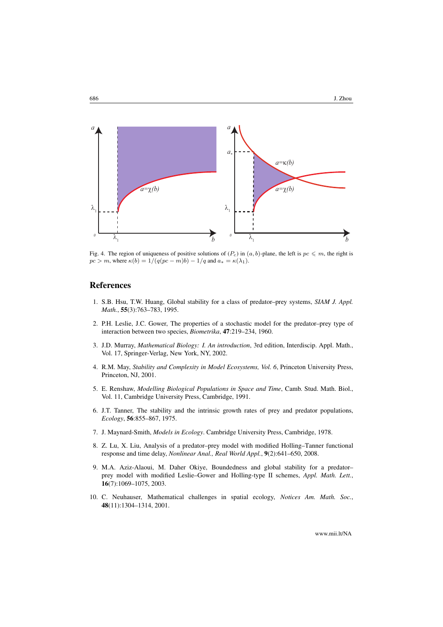<span id="page-17-8"></span>

Fig. 4. The region of uniqueness of positive solutions of  $(P_c)$  $(P_c)$  $(P_c)$  in  $(a, b)$ -plane, the left is  $pc \le m$ , the right is  $pc > m$ , where  $\kappa(b) = 1/(q(pc - m)b) - 1/q$  and  $a_* = \kappa(\lambda_1)$ .

## References

- <span id="page-17-0"></span>1. S.B. Hsu, T.W. Huang, Global stability for a class of predator–prey systems, *SIAM J. Appl. Math.*, 55(3):763–783, 1995.
- <span id="page-17-1"></span>2. P.H. Leslie, J.C. Gower, The properties of a stochastic model for the predator–prey type of interaction between two species, *Biometrika*, 47:219–234, 1960.
- <span id="page-17-2"></span>3. J.D. Murray, *Mathematical Biology: I. An introduction*, 3rd edition, Interdiscip. Appl. Math., Vol. 17, Springer-Verlag, New York, NY, 2002.
- 4. R.M. May, *Stability and Complexity in Model Ecosystems, Vol. 6*, Princeton University Press, Princeton, NJ, 2001.
- 5. E. Renshaw, *Modelling Biological Populations in Space and Time*, Camb. Stud. Math. Biol., Vol. 11, Cambridge University Press, Cambridge, 1991.
- <span id="page-17-3"></span>6. J.T. Tanner, The stability and the intrinsic growth rates of prey and predator populations, *Ecology*, 56:855–867, 1975.
- <span id="page-17-4"></span>7. J. Maynard-Smith, *Models in Ecology*. Cambridge University Press, Cambridge, 1978.
- <span id="page-17-5"></span>8. Z. Lu, X. Liu, Analysis of a predator–prey model with modified Holling–Tanner functional response and time delay, *Nonlinear Anal., Real World Appl.*, 9(2):641–650, 2008.
- <span id="page-17-6"></span>9. M.A. Aziz-Alaoui, M. Daher Okiye, Boundedness and global stability for a predator– prey model with modified Leslie–Gower and Holling-type II schemes, *Appl. Math. Lett.*, 16(7):1069–1075, 2003.
- <span id="page-17-7"></span>10. C. Neuhauser, Mathematical challenges in spatial ecology, *Notices Am. Math. Soc.*, 48(11):1304–1314, 2001.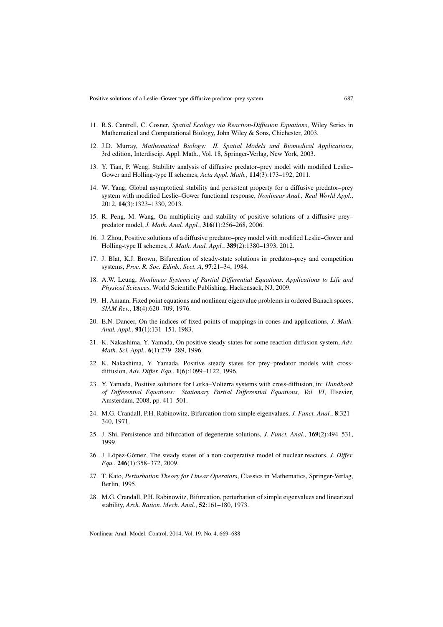- <span id="page-18-0"></span>11. R.S. Cantrell, C. Cosner, *Spatial Ecology via Reaction-Diffusion Equations*, Wiley Series in Mathematical and Computational Biology, John Wiley & Sons, Chichester, 2003.
- <span id="page-18-1"></span>12. J.D. Murray, *Mathematical Biology: II. Spatial Models and Biomedical Applications*, 3rd edition, Interdiscip. Appl. Math., Vol. 18, Springer-Verlag, New York, 2003.
- <span id="page-18-2"></span>13. Y. Tian, P. Weng, Stability analysis of diffusive predator–prey model with modified Leslie– Gower and Holling-type II schemes, *Acta Appl. Math.*, 114(3):173–192, 2011.
- <span id="page-18-3"></span>14. W. Yang, Global asymptotical stability and persistent property for a diffusive predator–prey system with modified Leslie–Gower functional response, *Nonlinear Anal., Real World Appl.*, 2012, 14(3):1323–1330, 2013.
- <span id="page-18-4"></span>15. R. Peng, M. Wang, On multiplicity and stability of positive solutions of a diffusive prey– predator model, *J. Math. Anal. Appl.*, 316(1):256–268, 2006.
- <span id="page-18-5"></span>16. J. Zhou, Positive solutions of a diffusive predator–prey model with modified Leslie–Gower and Holling-type II schemes, *J. Math. Anal. Appl.*, 389(2):1380–1393, 2012.
- <span id="page-18-6"></span>17. J. Blat, K.J. Brown, Bifurcation of steady-state solutions in predator–prey and competition systems, *Proc. R. Soc. Edinb., Sect. A*, 97:21–34, 1984.
- <span id="page-18-7"></span>18. A.W. Leung, *Nonlinear Systems of Partial Differential Equations. Applications to Life and Physical Sciences*, World Scientific Publishing, Hackensack, NJ, 2009.
- <span id="page-18-8"></span>19. H. Amann, Fixed point equations and nonlinear eigenvalue problems in ordered Banach spaces, *SIAM Rev.*, 18(4):620–709, 1976.
- <span id="page-18-9"></span>20. E.N. Dancer, On the indices of fixed points of mappings in cones and applications, *J. Math. Anal. Appl.*, 91(1):131–151, 1983.
- <span id="page-18-10"></span>21. K. Nakashima, Y. Yamada, On positive steady-states for some reaction-diffusion system, *Adv. Math. Sci. Appl.*, 6(1):279–289, 1996.
- <span id="page-18-11"></span>22. K. Nakashima, Y. Yamada, Positive steady states for prey–predator models with crossdiffusion, *Adv. Differ. Equ.*, 1(6):1099–1122, 1996.
- <span id="page-18-12"></span>23. Y. Yamada, Positive solutions for Lotka–Volterra systems with cross-diffusion, in: *Handbook of Differential Equations: Stationary Partial Differential Equations, Vol. VI*, Elsevier, Amsterdam, 2008, pp. 411–501.
- <span id="page-18-13"></span>24. M.G. Crandall, P.H. Rabinowitz, Bifurcation from simple eigenvalues, *J. Funct. Anal.*, 8:321– 340, 1971.
- <span id="page-18-14"></span>25. J. Shi, Persistence and bifurcation of degenerate solutions, *J. Funct. Anal.*, 169(2):494–531, 1999.
- <span id="page-18-15"></span>26. J. López-Gómez, The steady states of a non-cooperative model of nuclear reactors, *J. Differ. Equ.*, 246(1):358–372, 2009.
- <span id="page-18-16"></span>27. T. Kato, *Perturbation Theory for Linear Operators*, Classics in Mathematics, Springer-Verlag, Berlin, 1995.
- <span id="page-18-17"></span>28. M.G. Crandall, P.H. Rabinowitz, Bifurcation, perturbation of simple eigenvalues and linearized stability, *Arch. Ration. Mech. Anal.*, 52:161–180, 1973.